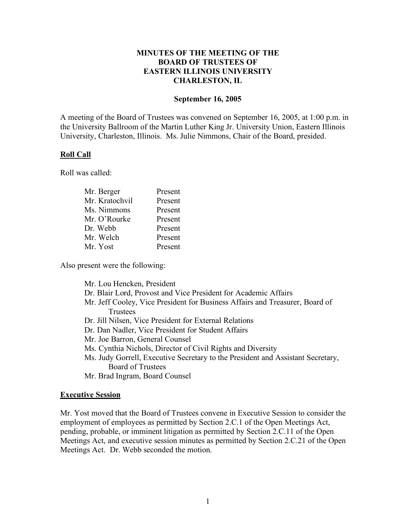## **MINUTES OF THE MEETING OF THE BOARD OF TRUSTEES OF EASTERN ILLINOIS UNIVERSITY CHARLESTON, IL**

#### **September 16, 2005**

A meeting of the Board of Trustees was convened on September 16, 2005, at 1:00 p.m. in the University Ballroom of the Martin Luther King Jr. University Union, Eastern Illinois University, Charleston, Illinois. Ms. Julie Nimmons, Chair of the Board, presided.

### **Roll Call**

Roll was called:

| Present |
|---------|
| Present |
| Present |
| Present |
| Present |
| Present |
| Present |
|         |

Also present were the following:

Mr. Lou Hencken, President Dr. Blair Lord, Provost and Vice President for Academic Affairs Mr. Jeff Cooley, Vice President for Business Affairs and Treasurer, Board of **Trustees** Dr. Jill Nilsen, Vice President for External Relations Dr. Dan Nadler, Vice President for Student Affairs Mr. Joe Barron, General Counsel Ms. Cynthia Nichols, Director of Civil Rights and Diversity Ms. Judy Gorrell, Executive Secretary to the President and Assistant Secretary, Board of Trustees Mr. Brad Ingram, Board Counsel

### **Executive Session**

Mr. Yost moved that the Board of Trustees convene in Executive Session to consider the employment of employees as permitted by Section 2.C.1 of the Open Meetings Act, pending, probable, or imminent litigation as permitted by Section 2.C.11 of the Open Meetings Act, and executive session minutes as permitted by Section 2.C.21 of the Open Meetings Act. Dr. Webb seconded the motion.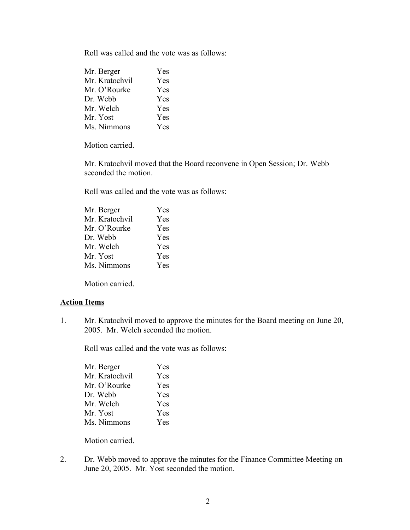Roll was called and the vote was as follows:

| Mr. Berger     | Yes |
|----------------|-----|
| Mr. Kratochvil | Yes |
| Mr. O'Rourke   | Yes |
| Dr. Webb       | Yes |
| Mr. Welch      | Yes |
| Mr. Yost       | Yes |
| Ms. Nimmons    | Yes |
|                |     |

Motion carried.

Mr. Kratochvil moved that the Board reconvene in Open Session; Dr. Webb seconded the motion.

Roll was called and the vote was as follows:

| Mr. Berger     | Yes        |
|----------------|------------|
| Mr. Kratochvil | Yes        |
| Mr. O'Rourke   | Yes        |
| Dr. Webb       | <b>Yes</b> |
| Mr. Welch      | <b>Yes</b> |
| Mr. Yost       | <b>Yes</b> |
| Ms. Nimmons    | Yes        |
|                |            |

Motion carried.

### **Action Items**

1. Mr. Kratochvil moved to approve the minutes for the Board meeting on June 20, 2005. Mr. Welch seconded the motion.

Roll was called and the vote was as follows:

| Yes        |
|------------|
| Yes        |
| Yes        |
| <b>Yes</b> |
| Yes        |
| <b>Yes</b> |
| Yes        |
|            |

Motion carried.

2. Dr. Webb moved to approve the minutes for the Finance Committee Meeting on June 20, 2005. Mr. Yost seconded the motion.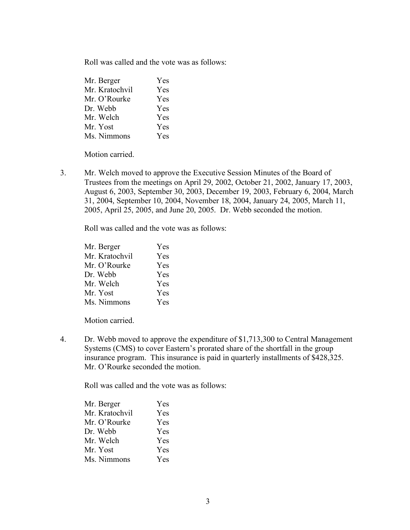Roll was called and the vote was as follows:

| Mr. Berger     | Yes        |
|----------------|------------|
| Mr. Kratochvil | <b>Yes</b> |
| Mr. O'Rourke   | Yes        |
| Dr. Webb       | Yes        |
| Mr. Welch      | Yes        |
| Mr. Yost       | Yes        |
| Ms. Nimmons    | <b>Yes</b> |

Motion carried.

3. Mr. Welch moved to approve the Executive Session Minutes of the Board of Trustees from the meetings on April 29, 2002, October 21, 2002, January 17, 2003, August 6, 2003, September 30, 2003, December 19, 2003, February 6, 2004, March 31, 2004, September 10, 2004, November 18, 2004, January 24, 2005, March 11, 2005, April 25, 2005, and June 20, 2005. Dr. Webb seconded the motion.

Roll was called and the vote was as follows:

| Mr. Berger     | Yes        |
|----------------|------------|
| Mr. Kratochvil | Yes        |
| Mr. O'Rourke   | Yes        |
| Dr. Webb       | <b>Yes</b> |
| Mr. Welch      | Yes        |
| Mr. Yost       | Yes        |
| Ms. Nimmons    | Yes        |

Motion carried.

4. Dr. Webb moved to approve the expenditure of \$1,713,300 to Central Management Systems (CMS) to cover Eastern's prorated share of the shortfall in the group insurance program. This insurance is paid in quarterly installments of \$428,325. Mr. O'Rourke seconded the motion.

Roll was called and the vote was as follows:

| Mr. Berger     | Yes        |
|----------------|------------|
| Mr. Kratochvil | Yes        |
| Mr. O'Rourke   | Yes        |
| Dr. Webb       | <b>Yes</b> |
| Mr. Welch      | Yes        |
| Mr. Yost       | Yes        |
| Ms. Nimmons    | Yes        |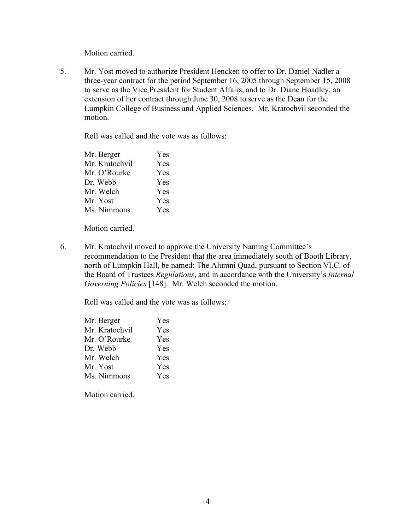Motion carried.

5. Mr. Yost moved to authorize President Hencken to offer to Dr. Daniel Nadler a three-year contract for the period September 16, 2005 through September 15, 2008 to serve as the Vice President for Student Affairs, and to Dr. Diane Hoadley, an extension of her contract through June 30, 2008 to serve as the Dean for the Lumpkin College of Business and Applied Sciences. Mr. Kratochvil seconded the motion.

Roll was called and the vote was as follows:

| Mr. Berger     | Yes |
|----------------|-----|
| Mr. Kratochvil | Yes |
| Mr. O'Rourke   | Yes |
| Dr. Webb       | Yes |
| Mr. Welch      | Yes |
| Mr. Yost       | Yes |
| Ms. Nimmons    | Yes |

Motion carried.

6. Mr. Kratochvil moved to approve the University Naming Committee's recommendation to the President that the area immediately south of Booth Library, north of Lumpkin Hall, be named: The Alumni Quad, pursuant to Section VI.C. of the Board of Trustees *Regulations*, and in accordance with the University's *Internal Governing Policies* [148]. Mr. Welch seconded the motion.

Roll was called and the vote was as follows:

| Mr. Berger     | Yes        |
|----------------|------------|
| Mr. Kratochvil | Yes        |
| Mr. O'Rourke   | Yes        |
| Dr. Webb       | <b>Yes</b> |
| Mr. Welch      | <b>Yes</b> |
| Mr. Yost       | Yes        |
| Ms. Nimmons    | Yes        |
|                |            |

Motion carried.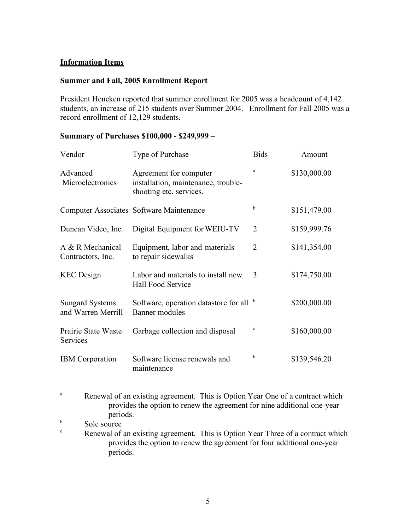## **Information Items**

### **Summer and Fall, 2005 Enrollment Report** –

President Hencken reported that summer enrollment for 2005 was a headcount of 4,142 students, an increase of 215 students over Summer 2004. Enrollment for Fall 2005 was a record enrollment of 12,129 students.

# **Summary of Purchases \$100,000 - \$249,999** –

| Vendor                                       | <b>Type of Purchase</b>                                                                  | <b>Bids</b>    | <b>Amount</b> |
|----------------------------------------------|------------------------------------------------------------------------------------------|----------------|---------------|
| Advanced<br>Microelectronics                 | Agreement for computer<br>installation, maintenance, trouble-<br>shooting etc. services. |                | \$130,000.00  |
|                                              | <b>Computer Associates Software Maintenance</b>                                          | b              | \$151,479.00  |
| Duncan Video, Inc.                           | Digital Equipment for WEIU-TV                                                            | 2              | \$159,999.76  |
| A & R Mechanical<br>Contractors, Inc.        | Equipment, labor and materials<br>to repair sidewalks                                    | $\overline{2}$ | \$141,354.00  |
| <b>KEC</b> Design                            | Labor and materials to install new<br>Hall Food Service                                  | 3              | \$174,750.00  |
| <b>Sungard Systems</b><br>and Warren Merrill | Software, operation datastore for all <sup>b</sup><br>Banner modules                     |                | \$200,000.00  |
| Prairie State Waste<br><b>Services</b>       | Garbage collection and disposal                                                          | $\mathbf c$    | \$160,000.00  |
| <b>IBM</b> Corporation                       | Software license renewals and<br>maintenance                                             | b              | \$139,546.20  |

- <sup>a</sup> Renewal of an existing agreement. This is Option Year One of a contract which provides the option to renew the agreement for nine additional one-year periods.
- $\frac{b}{c}$  Sole source
- Renewal of an existing agreement. This is Option Year Three of a contract which provides the option to renew the agreement for four additional one-year periods.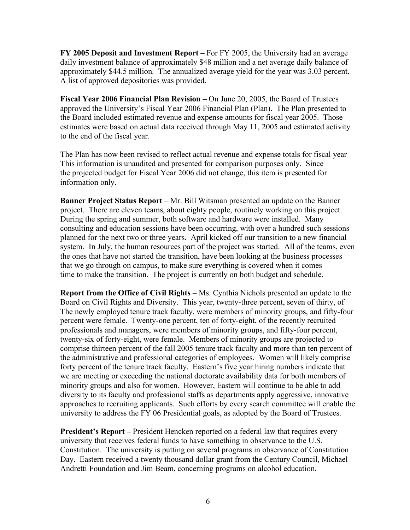**FY 2005 Deposit and Investment Report –** For FY 2005, the University had an average daily investment balance of approximately \$48 million and a net average daily balance of approximately \$44.5 million. The annualized average yield for the year was 3.03 percent. A list of approved depositories was provided.

**Fiscal Year 2006 Financial Plan Revision –** On June 20, 2005, the Board of Trustees approved the University's Fiscal Year 2006 Financial Plan (Plan). The Plan presented to the Board included estimated revenue and expense amounts for fiscal year 2005. Those estimates were based on actual data received through May 11, 2005 and estimated activity to the end of the fiscal year.

The Plan has now been revised to reflect actual revenue and expense totals for fiscal year This information is unaudited and presented for comparison purposes only. Since the projected budget for Fiscal Year 2006 did not change, this item is presented for information only.

**Banner Project Status Report** – Mr. Bill Witsman presented an update on the Banner project. There are eleven teams, about eighty people, routinely working on this project. During the spring and summer, both software and hardware were installed. Many consulting and education sessions have been occurring, with over a hundred such sessions planned for the next two or three years. April kicked off our transition to a new financial system. In July, the human resources part of the project was started. All of the teams, even the ones that have not started the transition, have been looking at the business processes that we go through on campus, to make sure everything is covered when it comes time to make the transition. The project is currently on both budget and schedule.

**Report from the Office of Civil Rights** – Ms. Cynthia Nichols presented an update to the Board on Civil Rights and Diversity. This year, twenty-three percent, seven of thirty, of The newly employed tenure track faculty, were members of minority groups, and fifty-four percent were female. Twenty-one percent, ten of forty-eight, of the recently recruited professionals and managers, were members of minority groups, and fifty-four percent, twenty-six of forty-eight, were female. Members of minority groups are projected to comprise thirteen percent of the fall 2005 tenure track faculty and more than ten percent of the administrative and professional categories of employees. Women will likely comprise forty percent of the tenure track faculty. Eastern's five year hiring numbers indicate that we are meeting or exceeding the national doctorate availability data for both members of minority groups and also for women. However, Eastern will continue to be able to add diversity to its faculty and professional staffs as departments apply aggressive, innovative approaches to recruiting applicants. Such efforts by every search committee will enable the university to address the FY 06 Presidential goals, as adopted by the Board of Trustees.

**President's Report –** President Hencken reported on a federal law that requires every university that receives federal funds to have something in observance to the U.S. Constitution. The university is putting on several programs in observance of Constitution Day. Eastern received a twenty thousand dollar grant from the Century Council, Michael Andretti Foundation and Jim Beam, concerning programs on alcohol education.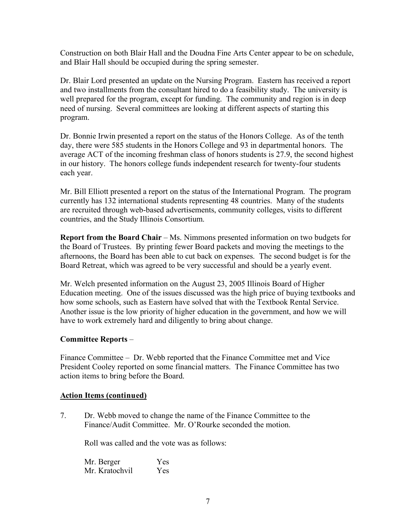Construction on both Blair Hall and the Doudna Fine Arts Center appear to be on schedule, and Blair Hall should be occupied during the spring semester.

Dr. Blair Lord presented an update on the Nursing Program. Eastern has received a report and two installments from the consultant hired to do a feasibility study. The university is well prepared for the program, except for funding. The community and region is in deep need of nursing. Several committees are looking at different aspects of starting this program.

Dr. Bonnie Irwin presented a report on the status of the Honors College. As of the tenth day, there were 585 students in the Honors College and 93 in departmental honors. The average ACT of the incoming freshman class of honors students is 27.9, the second highest in our history. The honors college funds independent research for twenty-four students each year.

Mr. Bill Elliott presented a report on the status of the International Program. The program currently has 132 international students representing 48 countries. Many of the students are recruited through web-based advertisements, community colleges, visits to different countries, and the Study Illinois Consortium.

**Report from the Board Chair** – Ms. Nimmons presented information on two budgets for the Board of Trustees. By printing fewer Board packets and moving the meetings to the afternoons, the Board has been able to cut back on expenses. The second budget is for the Board Retreat, which was agreed to be very successful and should be a yearly event.

Mr. Welch presented information on the August 23, 2005 Illinois Board of Higher Education meeting. One of the issues discussed was the high price of buying textbooks and how some schools, such as Eastern have solved that with the Textbook Rental Service. Another issue is the low priority of higher education in the government, and how we will have to work extremely hard and diligently to bring about change.

# **Committee Reports** –

Finance Committee – Dr. Webb reported that the Finance Committee met and Vice President Cooley reported on some financial matters. The Finance Committee has two action items to bring before the Board.

# **Action Items (continued)**

7. Dr. Webb moved to change the name of the Finance Committee to the Finance/Audit Committee. Mr. O'Rourke seconded the motion.

Roll was called and the vote was as follows:

Mr. Berger Yes Mr. Kratochvil Yes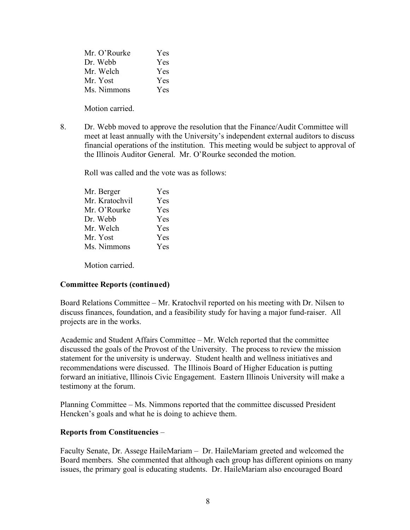| Mr. O'Rourke | <b>Yes</b> |
|--------------|------------|
| Dr. Webb     | Yes        |
| Mr. Welch    | Yes        |
| Mr. Yost     | Yes        |
| Ms. Nimmons  | Yes        |

Motion carried.

8. Dr. Webb moved to approve the resolution that the Finance/Audit Committee will meet at least annually with the University's independent external auditors to discuss financial operations of the institution. This meeting would be subject to approval of the Illinois Auditor General. Mr. O'Rourke seconded the motion.

Roll was called and the vote was as follows:

| Mr. Berger     | Yes        |
|----------------|------------|
| Mr. Kratochvil | Yes        |
| Mr. O'Rourke   | <b>Yes</b> |
| Dr. Webb       | <b>Yes</b> |
| Mr. Welch      | <b>Yes</b> |
| Mr. Yost       | <b>Yes</b> |
| Ms. Nimmons    | Yes        |
|                |            |

Motion carried.

# **Committee Reports (continued)**

Board Relations Committee – Mr. Kratochvil reported on his meeting with Dr. Nilsen to discuss finances, foundation, and a feasibility study for having a major fund-raiser. All projects are in the works.

Academic and Student Affairs Committee – Mr. Welch reported that the committee discussed the goals of the Provost of the University. The process to review the mission statement for the university is underway. Student health and wellness initiatives and recommendations were discussed. The Illinois Board of Higher Education is putting forward an initiative, Illinois Civic Engagement. Eastern Illinois University will make a testimony at the forum.

Planning Committee – Ms. Nimmons reported that the committee discussed President Hencken's goals and what he is doing to achieve them.

# **Reports from Constituencies** –

Faculty Senate, Dr. Assege HaileMariam – Dr. HaileMariam greeted and welcomed the Board members. She commented that although each group has different opinions on many issues, the primary goal is educating students. Dr. HaileMariam also encouraged Board